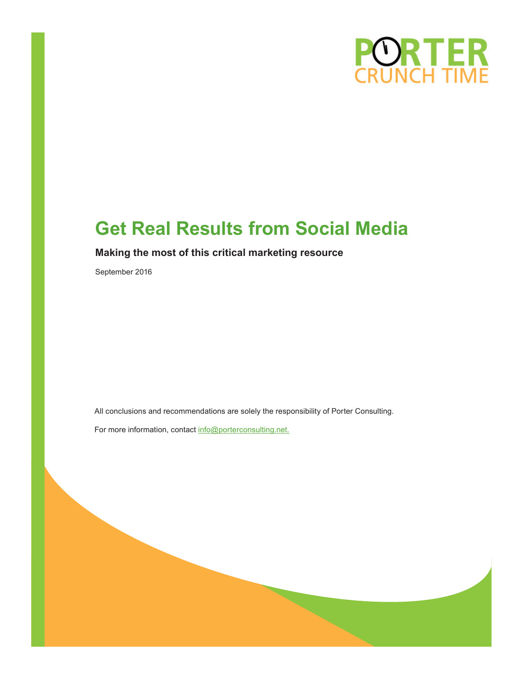

# **Get Real Results from Social Media**

### **Making the most of this critical marketing resource**

September 2016

All conclusions and recommendations are solely the responsibility of Porter Consulting.

For more information, contact info@porterconsulting.net.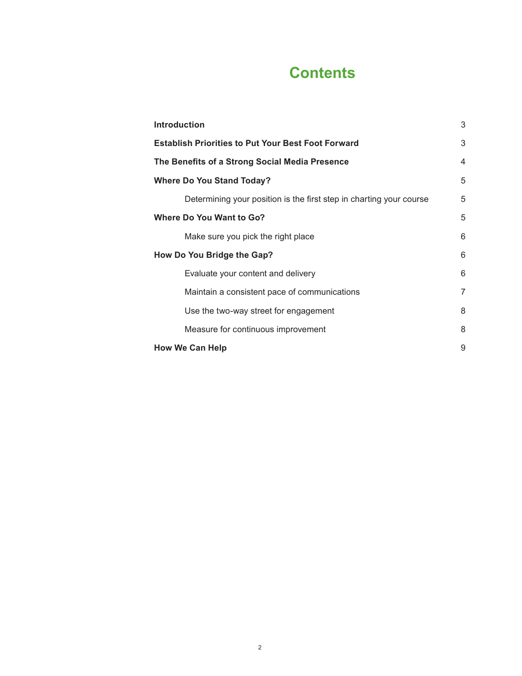# **Contents**

| <b>Introduction</b>                                                 | 3              |
|---------------------------------------------------------------------|----------------|
| <b>Establish Priorities to Put Your Best Foot Forward</b>           | 3              |
| The Benefits of a Strong Social Media Presence                      | $\overline{4}$ |
| <b>Where Do You Stand Today?</b>                                    | 5              |
| Determining your position is the first step in charting your course | 5              |
| <b>Where Do You Want to Go?</b>                                     | 5              |
| Make sure you pick the right place                                  | 6              |
| How Do You Bridge the Gap?                                          | 6              |
| Evaluate your content and delivery                                  | 6              |
| Maintain a consistent pace of communications                        | 7              |
| Use the two-way street for engagement                               | 8              |
| Measure for continuous improvement                                  | 8              |
| <b>How We Can Help</b>                                              | 9              |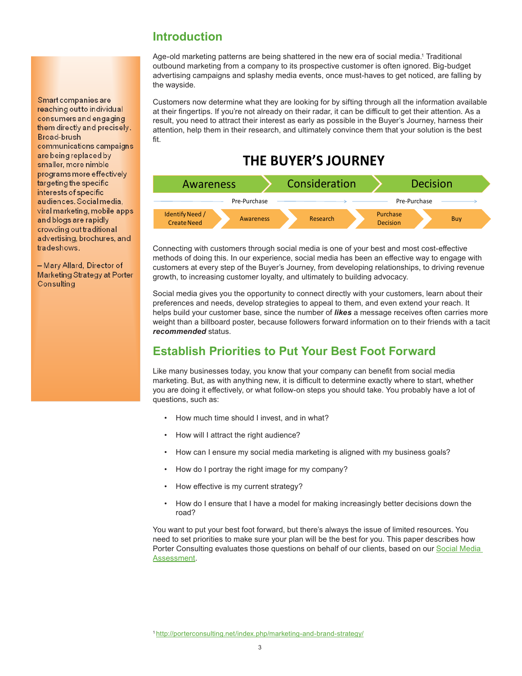#### <span id="page-2-0"></span>Smart companies are reaching out to individual consumers and engaging them directly and precisely. Broad-brush communications campaigns are being replaced by smaller, more nimble programs more effectively targeting the specific interests of specific audiences. Social media. viral marketing, mobile apps and blogs are rapidly crowding out traditional advertising, brochures, and tradeshows.

- Mary Allard, Director of **Marketing Strategy at Porter** Consulting

# **Introduction**

Age-old marketing patterns are being shattered in the new era of social media.1 Traditional outbound marketing from a company to its prospective customer is often ignored. Big-budget advertising campaigns and splashy media events, once must-haves to get noticed, are falling by the wayside.

Customers now determine what they are looking for by sifting through all the information available at their fingertips. If you're not already on their radar, it can be difficult to get their attention. As a result, you need to attract their interest as early as possible in the Buyer's Journey, harness their attention, help them in their research, and ultimately convince them that your solution is the best fit.

# **THE BUYER'S JOURNEY**



Connecting with customers through social media is one of your best and most cost-effective methods of doing this. In our experience, social media has been an effective way to engage with customers at every step of the Buyer's Journey, from developing relationships, to driving revenue growth, to increasing customer loyalty, and ultimately to building advocacy.

Social media gives you the opportunity to connect directly with your customers, learn about their preferences and needs, develop strategies to appeal to them, and even extend your reach. It helps build your customer base, since the number of *likes* a message receives often carries more weight than a billboard poster, because followers forward information on to their friends with a tacit *recommended* status.

# **Establish Priorities to Put Your Best Foot Forward**

Like many businesses today, you know that your company can benefit from social media marketing. But, as with anything new, it is difficult to determine exactly where to start, whether you are doing it effectively, or what follow-on steps you should take. You probably have a lot of questions, such as:

- How much time should I invest, and in what?
- How will I attract the right audience?
- How can I ensure my social media marketing is aligned with my business goals?
- How do I portray the right image for my company?
- How effective is my current strategy?
- How do I ensure that I have a model for making increasingly better decisions down the road?

You want to put your best foot forward, but there's always the issue of limited resources. You need to set priorities to make sure your plan will be the best for you. This paper describes how Porter Consulting evaluates those questions on behalf of our clients, based on our Social Media [Assessment](http://porterconsulting.net/index.php/social-media/).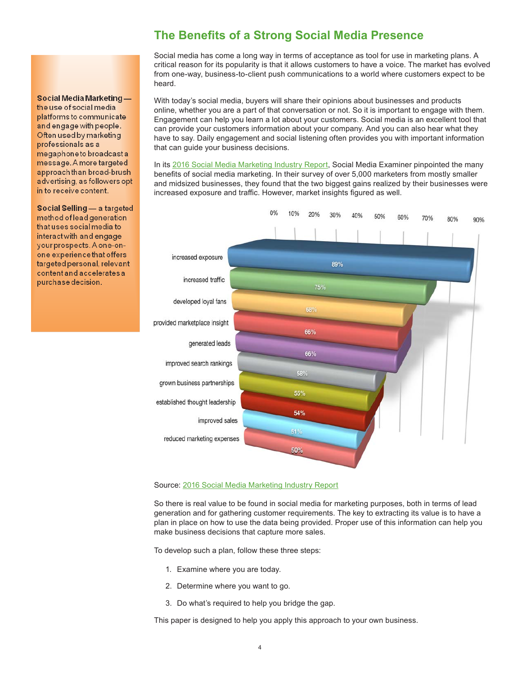## **The Benefits of a Strong Social Media Presence**

Social media has come a long way in terms of acceptance as tool for use in marketing plans. A critical reason for its popularity is that it allows customers to have a voice. The market has evolved from one-way, business-to-client push communications to a world where customers expect to be heard.

With today's social media, buyers will share their opinions about businesses and products online, whether you are a part of that conversation or not. So it is important to engage with them. Engagement can help you learn a lot about your customers. Social media is an excellent tool that can provide your customers information about your company. And you can also hear what they have to say. Daily engagement and social listening often provides you with important information that can guide your business decisions.

In its [2016 Social Media Marketing Industry Report,](http://www.socialmediaexaminer.com/report/) Social Media Examiner pinpointed the many benefits of social media marketing. In their survey of over 5,000 marketers from mostly smaller and midsized businesses, they found that the two biggest gains realized by their businesses were increased exposure and traffic. However, market insights figured as well.



#### Source: [2016 Social Media Marketing Industry Report](http://www.socialmediaexaminer.com/report/)

So there is real value to be found in social media for marketing purposes, both in terms of lead generation and for gathering customer requirements. The key to extracting its value is to have a plan in place on how to use the data being provided. Proper use of this information can help you make business decisions that capture more sales.

To develop such a plan, follow these three steps:

- 1. Examine where you are today.
- 2. Determine where you want to go.
- 3. Do what's required to help you bridge the gap.

This paper is designed to help you apply this approach to your own business.

<span id="page-3-0"></span>Social Media Marketingthe use of social media platforms to communicate and engage with people. Often used by marketing professionals as a megaphone to broadcast a message. A more targeted approach than broad-brush advertising, as followers opt in to receive content.

Social Selling - a targeted method of lead generation that uses social media to interact with and engage your prospects. A one-onone experience that offers targeted personal, relevant content and accelerates a purchase decision.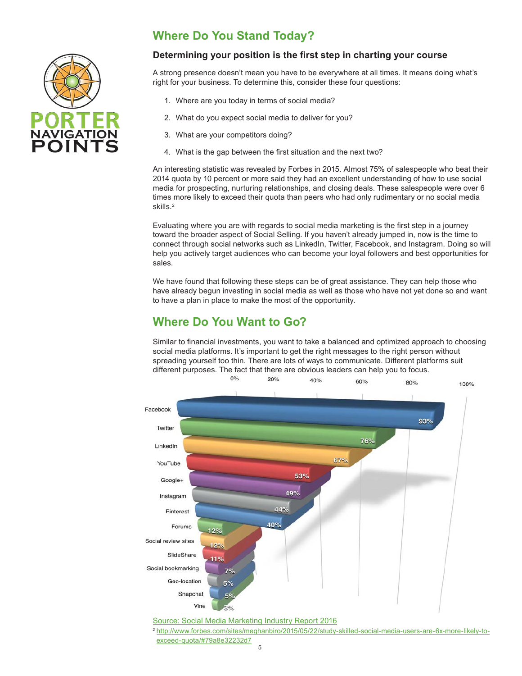<span id="page-4-0"></span>

# **Where Do You Stand Today?**

#### **Determining your position is the first step in charting your course**

A strong presence doesn't mean you have to be everywhere at all times. It means doing what's right for your business. To determine this, consider these four questions:

- 1. Where are you today in terms of social media?
- 2. What do you expect social media to deliver for you?
- 3. What are your competitors doing?
- 4. What is the gap between the first situation and the next two?

An interesting statistic was revealed by Forbes in 2015. Almost 75% of salespeople who beat their 2014 quota by 10 percent or more said they had an excellent understanding of how to use social media for prospecting, nurturing relationships, and closing deals. These salespeople were over 6 times more likely to exceed their quota than peers who had only rudimentary or no social media skills.2

Evaluating where you are with regards to social media marketing is the first step in a journey toward the broader aspect of Social Selling. If you haven't already jumped in, now is the time to connect through social networks such as LinkedIn, Twitter, Facebook, and Instagram. Doing so will help you actively target audiences who can become your loyal followers and best opportunities for sales.

We have found that following these steps can be of great assistance. They can help those who have already begun investing in social media as well as those who have not yet done so and want to have a plan in place to make the most of the opportunity.

## **Where Do You Want to Go?**

Similar to financial investments, you want to take a balanced and optimized approach to choosing social media platforms. It's important to get the right messages to the right person without spreading yourself too thin. There are lots of ways to communicate. Different platforms suit different purposes. The fact that there are obvious leaders can help you to focus.  $0%$  $20%$ 



[Source: Social Media Marketing Industry Report 2016](http://www.socialmediaexaminer.com/report/)

<sup>2</sup> [http://www.forbes.com/sites/meghanbiro/2015/05/22/study-skilled-social-media-users-are-6x-more-likely-to](http://www.forbes.com/sites/meghanbiro/2015/05/22/study-skilled-social-media-users-are-6x-more-likely-to-exceed-quota/#79a8e32232d7)[exceed-quota/#79a8e32232d7](http://www.forbes.com/sites/meghanbiro/2015/05/22/study-skilled-social-media-users-are-6x-more-likely-to-exceed-quota/#79a8e32232d7)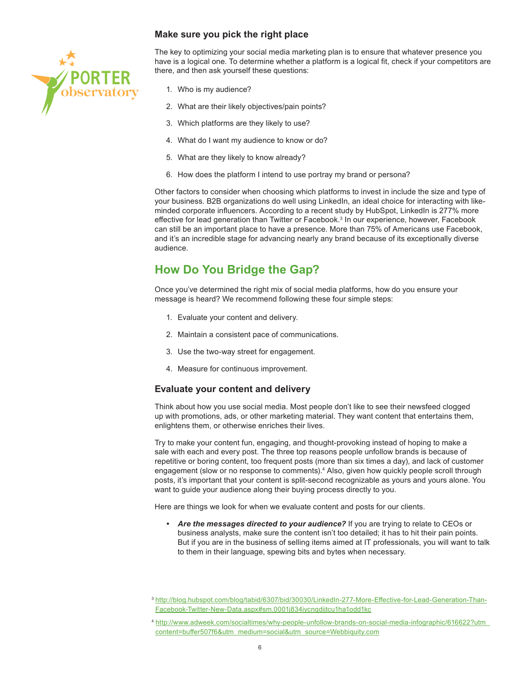#### **Make sure you pick the right place**

<span id="page-5-0"></span>

The key to optimizing your social media marketing plan is to ensure that whatever presence you have is a logical one. To determine whether a platform is a logical fit, check if your competitors are there, and then ask yourself these questions:

- 1. Who is my audience?
- 2. What are their likely objectives/pain points?
- 3. Which platforms are they likely to use?
- 4. What do I want my audience to know or do?
- 5. What are they likely to know already?
- 6. How does the platform I intend to use portray my brand or persona?

Other factors to consider when choosing which platforms to invest in include the size and type of your business. B2B organizations do well using LinkedIn, an ideal choice for interacting with likeminded corporate influencers. According to a recent study by HubSpot, LinkedIn is 277% more effective for lead generation than Twitter or Facebook.<sup>3</sup> In our experience, however, Facebook can still be an important place to have a presence. More than 75% of Americans use Facebook, and it's an incredible stage for advancing nearly any brand because of its exceptionally diverse audience.

# **How Do You Bridge the Gap?**

Once you've determined the right mix of social media platforms, how do you ensure your message is heard? We recommend following these four simple steps:

- 1. Evaluate your content and delivery.
- 2. Maintain a consistent pace of communications.
- 3. Use the two-way street for engagement.
- 4. Measure for continuous improvement.

#### **Evaluate your content and delivery**

Think about how you use social media. Most people don't like to see their newsfeed clogged up with promotions, ads, or other marketing material. They want content that entertains them, enlightens them, or otherwise enriches their lives.

Try to make your content fun, engaging, and thought-provoking instead of hoping to make a sale with each and every post. The three top reasons people unfollow brands is because of repetitive or boring content, too frequent posts (more than six times a day), and lack of customer engagement (slow or no response to comments).<sup>4</sup> Also, given how quickly people scroll through posts, it's important that your content is split-second recognizable as yours and yours alone. You want to guide your audience along their buying process directly to you.

Here are things we look for when we evaluate content and posts for our clients.

*• Are the messages directed to your audience?* If you are trying to relate to CEOs or business analysts, make sure the content isn't too detailed; it has to hit their pain points. But if you are in the business of selling items aimed at IT professionals, you will want to talk to them in their language, spewing bits and bytes when necessary.

<sup>3</sup> [http://blog.hubspot.com/blog/tabid/6307/bid/30030/LinkedIn-277-More-Effective-for-Lead-Generation-Than-](http://blog.hubspot.com/blog/tabid/6307/bid/30030/LinkedIn-277-More-Effective-for-Lead-Generation-Than-Facebook-Twitter-New-Data.aspx#sm.0001j834iycnqdijtcu1ha1odd1kc)[Facebook-Twitter-New-Data.aspx#sm.0001j834iycnqdijtcu1ha1odd1kc](http://blog.hubspot.com/blog/tabid/6307/bid/30030/LinkedIn-277-More-Effective-for-Lead-Generation-Than-Facebook-Twitter-New-Data.aspx#sm.0001j834iycnqdijtcu1ha1odd1kc)

<sup>4</sup> [http://www.adweek.com/socialtimes/why-people-unfollow-brands-on-social-media-infographic/616622?utm\\_](http://www.adweek.com/socialtimes/why-people-unfollow-brands-on-social-media-infographic/616622?utm_content=buffer507f6&utm_medium=social&utm_source=Webbiquity.com) [content=buffer507f6&utm\\_medium=social&utm\\_source=Webbiquity.com](http://www.adweek.com/socialtimes/why-people-unfollow-brands-on-social-media-infographic/616622?utm_content=buffer507f6&utm_medium=social&utm_source=Webbiquity.com)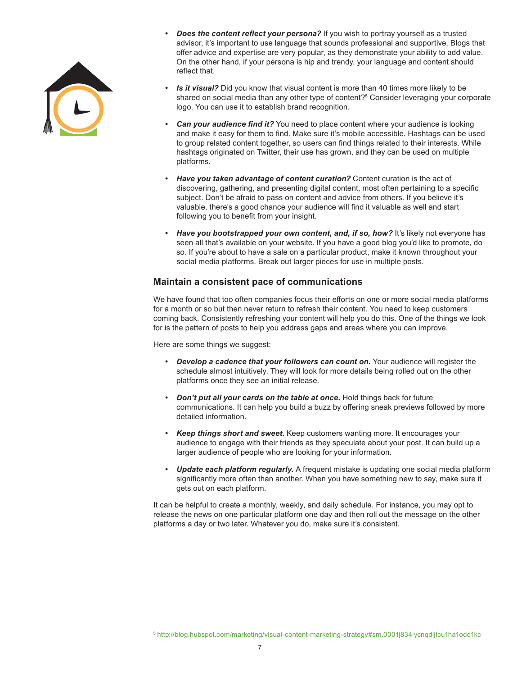<span id="page-6-0"></span>

- *Does the content reflect your persona?* If you wish to portray yourself as a trusted advisor, it's important to use language that sounds professional and supportive. Blogs that offer advice and expertise are very popular, as they demonstrate your ability to add value. On the other hand, if your persona is hip and trendy, your language and content should reflect that.
- *• Is it visual?* Did you know that visual content is more than 40 times more likely to be shared on social media than any other type of content?<sup>5</sup> Consider leveraging your corporate logo. You can use it to establish brand recognition.
- *Can your audience find it?* You need to place content where your audience is looking and make it easy for them to find. Make sure it's mobile accessible. Hashtags can be used to group related content together, so users can find things related to their interests. While hashtags originated on Twitter, their use has grown, and they can be used on multiple platforms.
- *• Have you taken advantage of content curation?* Content curation is the act of discovering, gathering, and presenting digital content, most often pertaining to a specific subject. Don't be afraid to pass on content and advice from others. If you believe it's valuable, there's a good chance your audience will find it valuable as well and start following you to benefit from your insight.
- *• Have you bootstrapped your own content, and, if so, how?* It's likely not everyone has seen all that's available on your website. If you have a good blog you'd like to promote, do so. If you're about to have a sale on a particular product, make it known throughout your social media platforms. Break out larger pieces for use in multiple posts.

#### **Maintain a consistent pace of communications**

We have found that too often companies focus their efforts on one or more social media platforms for a month or so but then never return to refresh their content. You need to keep customers coming back. Consistently refreshing your content will help you do this. One of the things we look for is the pattern of posts to help you address gaps and areas where you can improve.

Here are some things we suggest:

- Develop a cadence that your followers can count on. Your audience will register the schedule almost intuitively. They will look for more details being rolled out on the other platforms once they see an initial release.
- *• Don't put all your cards on the table at once.* Hold things back for future communications. It can help you build a buzz by offering sneak previews followed by more detailed information.
- *• Keep things short and sweet.* Keep customers wanting more. It encourages your audience to engage with their friends as they speculate about your post. It can build up a larger audience of people who are looking for your information.
- *• Update each platform regularly.* A frequent mistake is updating one social media platform significantly more often than another. When you have something new to say, make sure it gets out on each platform.

It can be helpful to create a monthly, weekly, and daily schedule. For instance, you may opt to release the news on one particular platform one day and then roll out the message on the other platforms a day or two later. Whatever you do, make sure it's consistent.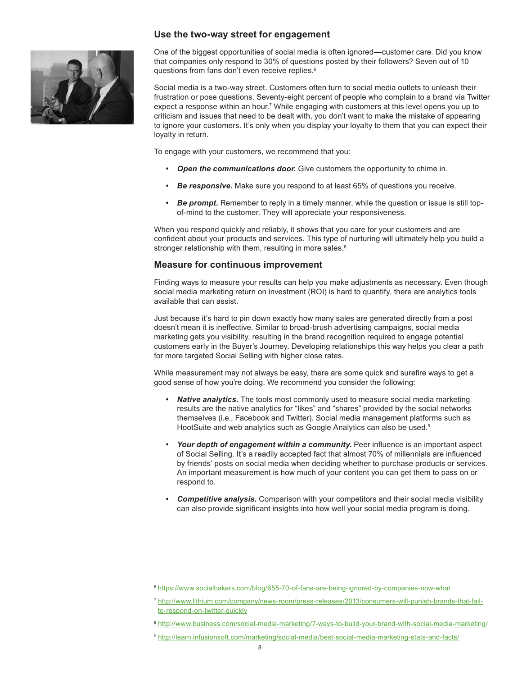<span id="page-7-0"></span>

#### **Use the two-way street for engagement**

One of the biggest opportunities of social media is often ignored—customer care. Did you know that companies only respond to 30% of questions posted by their followers? Seven out of 10 questions from fans don't even receive replies.<sup>6</sup>

Social media is a two-way street. Customers often turn to social media outlets to unleash their frustration or pose questions. Seventy-eight percent of people who complain to a brand via Twitter expect a response within an hour.<sup>7</sup> While engaging with customers at this level opens you up to criticism and issues that need to be dealt with, you don't want to make the mistake of appearing to ignore your customers. It's only when you display your loyalty to them that you can expect their loyalty in return.

To engage with your customers, we recommend that you:

- *• Open the communications door.* Give customers the opportunity to chime in.
- *• Be responsive.* Make sure you respond to at least 65% of questions you receive.
- *Be prompt.* Remember to reply in a timely manner, while the question or issue is still topof-mind to the customer. They will appreciate your responsiveness.

When you respond quickly and reliably, it shows that you care for your customers and are confident about your products and services. This type of nurturing will ultimately help you build a stronger relationship with them, resulting in more sales.<sup>8</sup>

#### **Measure for continuous improvement**

Finding ways to measure your results can help you make adjustments as necessary. Even though social media marketing return on investment (ROI) is hard to quantify, there are analytics tools available that can assist.

Just because it's hard to pin down exactly how many sales are generated directly from a post doesn't mean it is ineffective. Similar to broad-brush advertising campaigns, social media marketing gets you visibility, resulting in the brand recognition required to engage potential customers early in the Buyer's Journey. Developing relationships this way helps you clear a path for more targeted Social Selling with higher close rates.

While measurement may not always be easy, there are some quick and surefire ways to get a good sense of how you're doing. We recommend you consider the following:

- *• Native analytics.* The tools most commonly used to measure social media marketing results are the native analytics for "likes" and "shares" provided by the social networks themselves (i.e., Facebook and Twitter). Social media management platforms such as HootSuite and web analytics such as Google Analytics can also be used.<sup>9</sup>
- *• Your depth of engagement within a community.* Peer influence is an important aspect of Social Selling. It's a readily accepted fact that almost 70% of millennials are influenced by friends' posts on social media when deciding whether to purchase products or services. An important measurement is how much of your content you can get them to pass on or respond to.
- *• Competitive analysis.* Comparison with your competitors and their social media visibility can also provide significant insights into how well your social media program is doing.

<sup>6</sup> <https://www.socialbakers.com/blog/655-70-of-fans-are-being-ignored-by-companies-now-what>

<sup>7</sup> [http://www.lithium.com/company/news-room/press-releases/2013/consumers-will-punish-brands-that-fail](http://www.lithium.com/company/news-room/press-releases/2013/consumers-will-punish-brands-that-fail-to-respond-on-twitter-quickly)[to-respond-on-twitter-quickly](http://www.lithium.com/company/news-room/press-releases/2013/consumers-will-punish-brands-that-fail-to-respond-on-twitter-quickly)

<sup>8</sup> <http://www.business.com/social-media-marketing/7-ways-to-build-your-brand-with-social-media-marketing/>

<sup>9</sup> <http://learn.infusionsoft.com/marketing/social-media/best-social-media-marketing-stats-and-facts/>